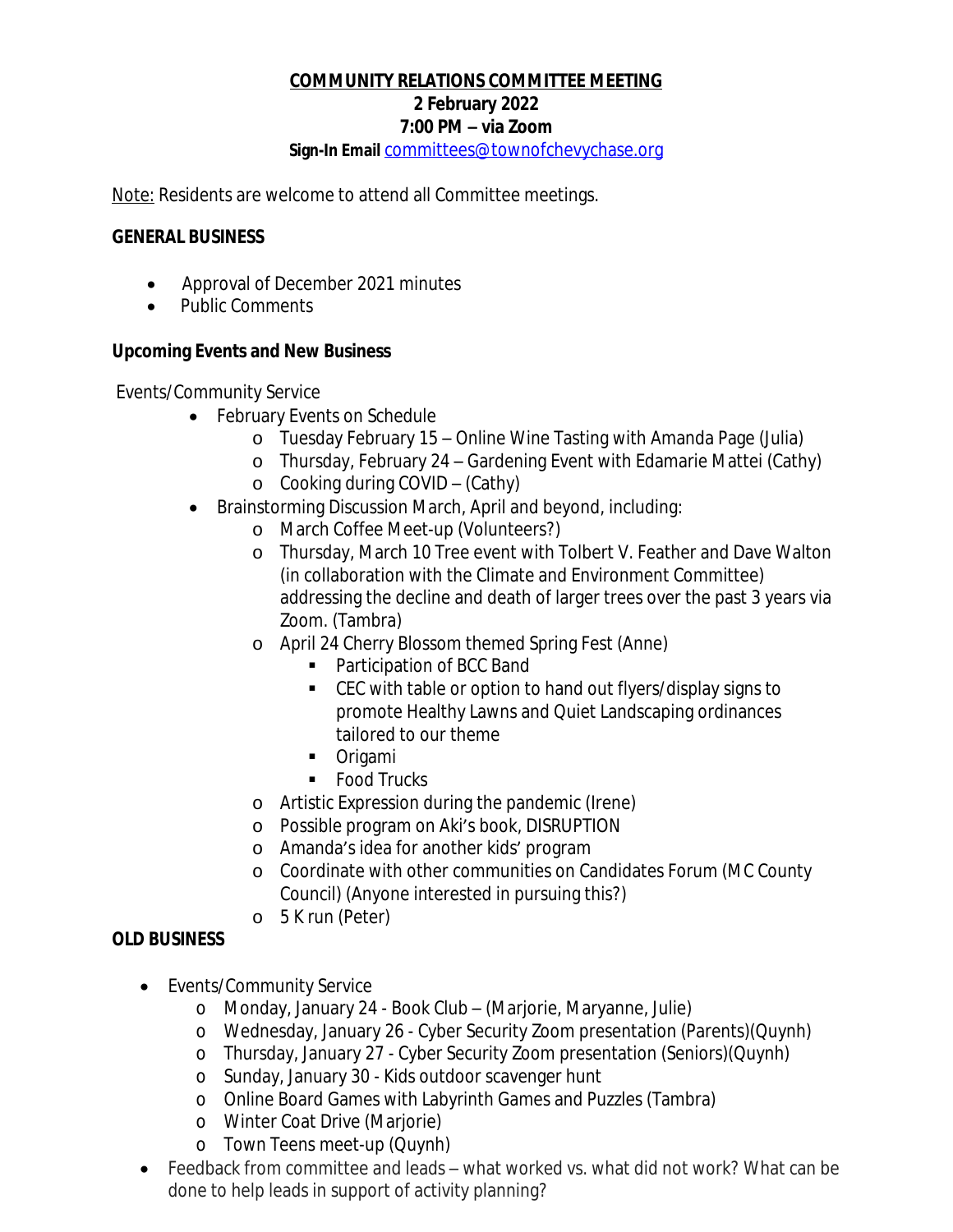# **COMMUNITY RELATIONS COMMITTEE MEETING 2 February 2022 7:00 PM – via Zoom**

**Sign-In Email** [committees@townofchevychase.org](mailto:committees@townofchevychase.org)

Note: Residents are welcome to attend all Committee meetings.

#### **GENERAL BUSINESS**

- Approval of December 2021 minutes
- Public Comments

## **Upcoming Events and New Business**

Events/Community Service

- · February Events on Schedule
	- o Tuesday February 15 Online Wine Tasting with Amanda Page (Julia)
	- o Thursday, February 24 Gardening Event with Edamarie Mattei (Cathy)
	- o Cooking during COVID (Cathy)
- · Brainstorming Discussion March, April and beyond, including:
	- o March Coffee Meet-up (Volunteers?)
	- o Thursday, March 10 Tree event with Tolbert V. Feather and Dave Walton (in collaboration with the Climate and Environment Committee) addressing the decline and death of larger trees over the past 3 years via Zoom. (Tambra)
	- o April 24 Cherry Blossom themed Spring Fest (Anne)
		- Participation of BCC Band
		- CEC with table or option to hand out flyers/display signs to promote Healthy Lawns and Quiet Landscaping ordinances tailored to our theme
		- **•** Origami
		- Food Trucks
	- o Artistic Expression during the pandemic (Irene)
	- o Possible program on Aki's book, DISRUPTION
	- o Amanda's idea for another kids' program
	- o Coordinate with other communities on Candidates Forum (MC County Council) (Anyone interested in pursuing this?)
	- o 5 K run (Peter)

### **OLD BUSINESS**

- · Events/Community Service
	- o Monday, January 24 Book Club (Marjorie, Maryanne, Julie)
	- o Wednesday, January 26 Cyber Security Zoom presentation (Parents)(Quynh)
	- o Thursday, January 27 Cyber Security Zoom presentation (Seniors)(Quynh)
	- o Sunday, January 30 Kids outdoor scavenger hunt
	- o Online Board Games with Labyrinth Games and Puzzles (Tambra)
	- o Winter Coat Drive (Marjorie)
	- o Town Teens meet-up (Quynh)
- · Feedback from committee and leads what worked vs. what did not work? What can be done to help leads in support of activity planning?